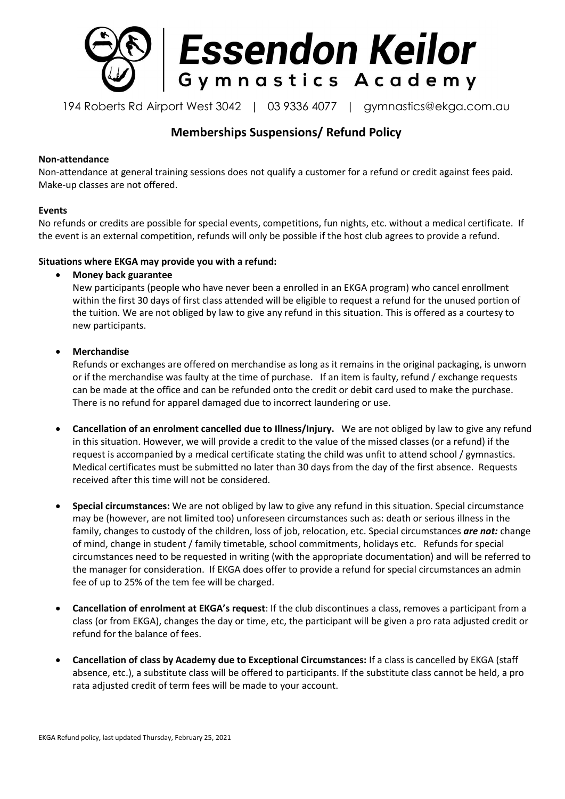

194 Roberts Rd Airport West 3042 | 03 9336 4077 | gymnastics@ekga.com.au

# **Memberships Suspensions/ Refund Policy**

### **Non-attendance**

Non-attendance at general training sessions does not qualify a customer for a refund or credit against fees paid. Make-up classes are not offered.

#### **Events**

No refunds or credits are possible for special events, competitions, fun nights, etc. without a medical certificate. If the event is an external competition, refunds will only be possible if the host club agrees to provide a refund.

## **Situations where EKGA may provide you with a refund:**

## **Money back guarantee**

New participants (people who have never been a enrolled in an EKGA program) who cancel enrollment within the first 30 days of first class attended will be eligible to request a refund for the unused portion of the tuition. We are not obliged by law to give any refund in this situation. This is offered as a courtesy to new participants.

# **Merchandise**

Refunds or exchanges are offered on merchandise as long as it remains in the original packaging, is unworn or if the merchandise was faulty at the time of purchase. If an item is faulty, refund / exchange requests can be made at the office and can be refunded onto the credit or debit card used to make the purchase. There is no refund for apparel damaged due to incorrect laundering or use.

- **Cancellation of an enrolment cancelled due to Illness/Injury.** We are not obliged by law to give any refund in this situation. However, we will provide a credit to the value of the missed classes (or a refund) if the request is accompanied by a medical certificate stating the child was unfit to attend school / gymnastics. Medical certificates must be submitted no later than 30 days from the day of the first absence. Requests received after this time will not be considered.
- **Special circumstances:** We are not obliged by law to give any refund in this situation. Special circumstance may be (however, are not limited too) unforeseen circumstances such as: death or serious illness in the family, changes to custody of the children, loss of job, relocation, etc. Special circumstances *are not:* change of mind, change in student / family timetable, school commitments, holidays etc. Refunds for special circumstances need to be requested in writing (with the appropriate documentation) and will be referred to the manager for consideration. If EKGA does offer to provide a refund for special circumstances an admin fee of up to 25% of the tem fee will be charged.
- **Cancellation of enrolment at EKGA's request**: If the club discontinues a class, removes a participant from a class (or from EKGA), changes the day or time, etc, the participant will be given a pro rata adjusted credit or refund for the balance of fees.
- **Cancellation of class by Academy due to Exceptional Circumstances:** If a class is cancelled by EKGA (staff absence, etc.), a substitute class will be offered to participants. If the substitute class cannot be held, a pro rata adjusted credit of term fees will be made to your account.